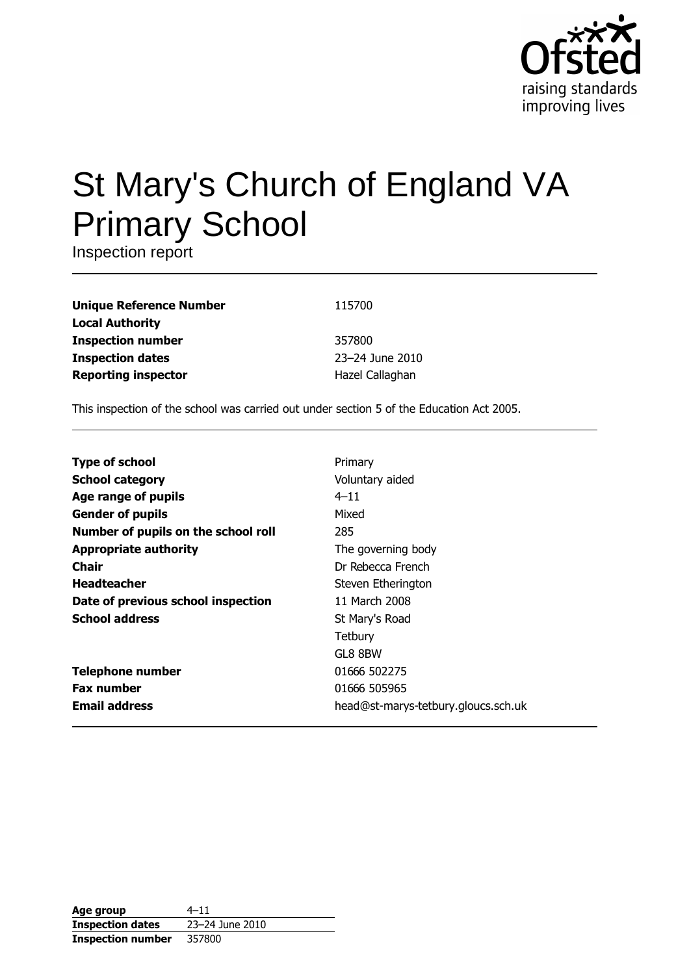

# St Mary's Church of England VA **Primary School**

Inspection report

| 115700          |
|-----------------|
|                 |
| 357800          |
| 23-24 June 2010 |
| Hazel Callaghan |
|                 |

This inspection of the school was carried out under section 5 of the Education Act 2005.

| <b>Type of school</b>               | Primary                             |
|-------------------------------------|-------------------------------------|
| <b>School category</b>              | Voluntary aided                     |
| Age range of pupils                 | $4 - 11$                            |
| <b>Gender of pupils</b>             | Mixed                               |
| Number of pupils on the school roll | 285                                 |
| <b>Appropriate authority</b>        | The governing body                  |
| Chair                               | Dr Rebecca French                   |
| <b>Headteacher</b>                  | Steven Etherington                  |
| Date of previous school inspection  | 11 March 2008                       |
| <b>School address</b>               | St Mary's Road                      |
|                                     | Tetbury                             |
|                                     | GL8 8BW                             |
| <b>Telephone number</b>             | 01666 502275                        |
| <b>Fax number</b>                   | 01666 505965                        |
| <b>Email address</b>                | head@st-marys-tetbury.gloucs.sch.uk |

| Age group                | $4 - 11$        |
|--------------------------|-----------------|
| <b>Inspection dates</b>  | 23-24 June 2010 |
| <b>Inspection number</b> | 357800          |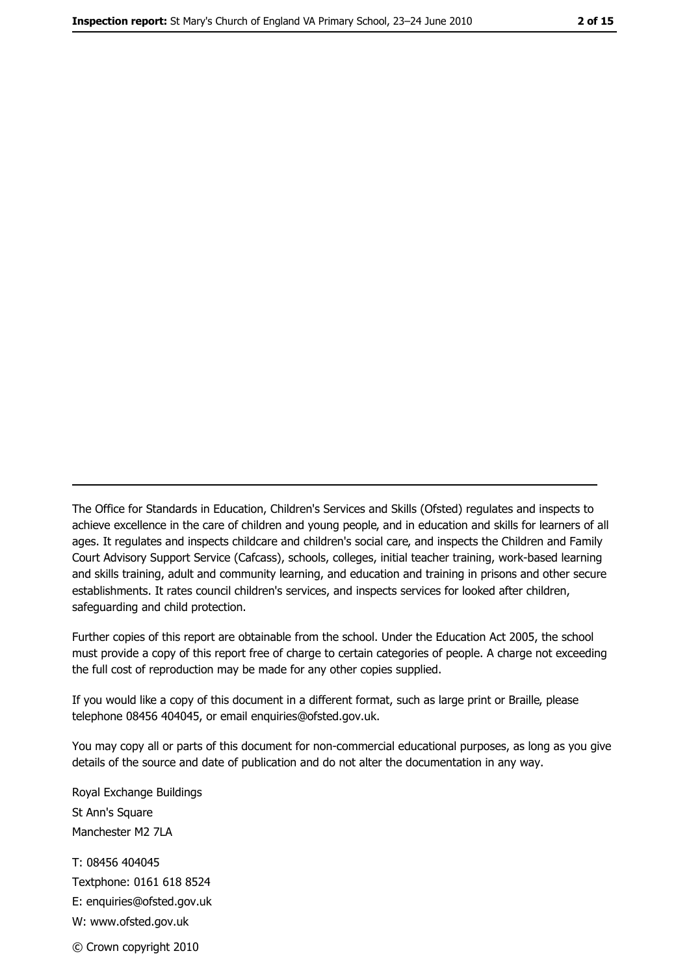The Office for Standards in Education, Children's Services and Skills (Ofsted) regulates and inspects to achieve excellence in the care of children and young people, and in education and skills for learners of all ages. It regulates and inspects childcare and children's social care, and inspects the Children and Family Court Advisory Support Service (Cafcass), schools, colleges, initial teacher training, work-based learning and skills training, adult and community learning, and education and training in prisons and other secure establishments. It rates council children's services, and inspects services for looked after children, safequarding and child protection.

Further copies of this report are obtainable from the school. Under the Education Act 2005, the school must provide a copy of this report free of charge to certain categories of people. A charge not exceeding the full cost of reproduction may be made for any other copies supplied.

If you would like a copy of this document in a different format, such as large print or Braille, please telephone 08456 404045, or email enquiries@ofsted.gov.uk.

You may copy all or parts of this document for non-commercial educational purposes, as long as you give details of the source and date of publication and do not alter the documentation in any way.

Royal Exchange Buildings St Ann's Square Manchester M2 7LA T: 08456 404045 Textphone: 0161 618 8524 E: enquiries@ofsted.gov.uk W: www.ofsted.gov.uk © Crown copyright 2010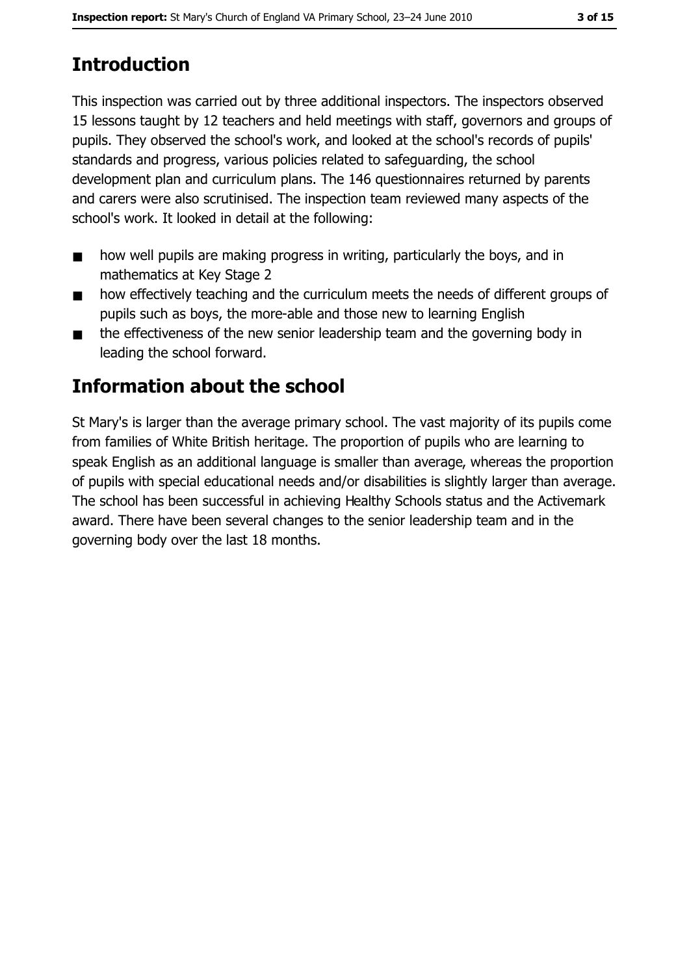# **Introduction**

This inspection was carried out by three additional inspectors. The inspectors observed 15 lessons taught by 12 teachers and held meetings with staff, governors and groups of pupils. They observed the school's work, and looked at the school's records of pupils' standards and progress, various policies related to safeguarding, the school development plan and curriculum plans. The 146 questionnaires returned by parents and carers were also scrutinised. The inspection team reviewed many aspects of the school's work. It looked in detail at the following:

- how well pupils are making progress in writing, particularly the boys, and in  $\blacksquare$ mathematics at Key Stage 2
- how effectively teaching and the curriculum meets the needs of different groups of  $\blacksquare$ pupils such as boys, the more-able and those new to learning English
- the effectiveness of the new senior leadership team and the governing body in  $\blacksquare$ leading the school forward.

## **Information about the school**

St Mary's is larger than the average primary school. The vast majority of its pupils come from families of White British heritage. The proportion of pupils who are learning to speak English as an additional language is smaller than average, whereas the proportion of pupils with special educational needs and/or disabilities is slightly larger than average. The school has been successful in achieving Healthy Schools status and the Activemark award. There have been several changes to the senior leadership team and in the governing body over the last 18 months.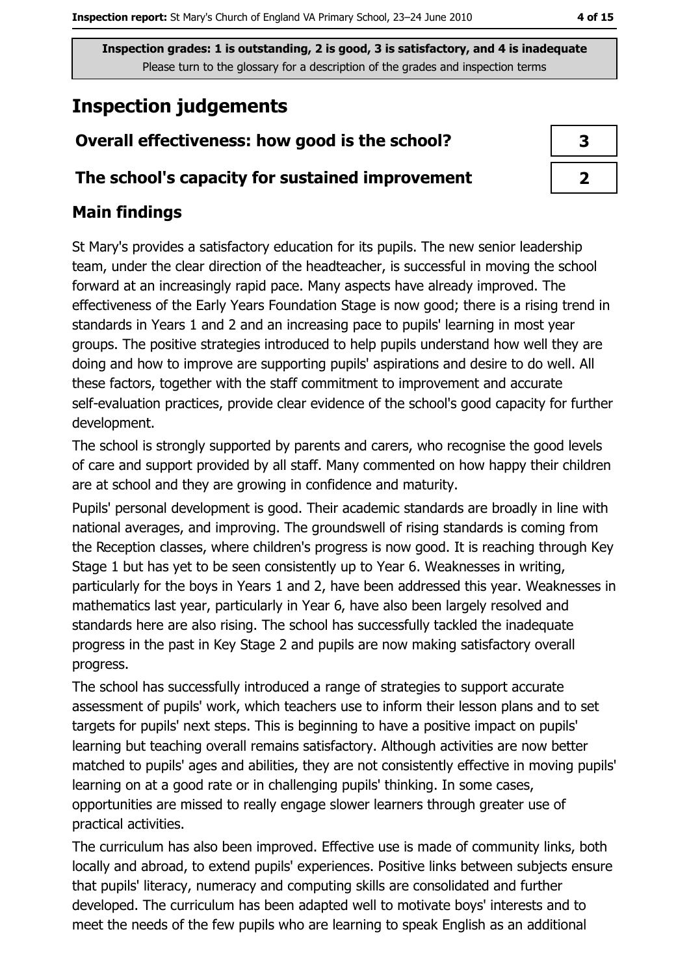# **Inspection judgements**

## Overall effectiveness: how good is the school?

#### The school's capacity for sustained improvement

## **Main findings**

St Mary's provides a satisfactory education for its pupils. The new senior leadership team, under the clear direction of the headteacher, is successful in moving the school forward at an increasingly rapid pace. Many aspects have already improved. The effectiveness of the Early Years Foundation Stage is now good; there is a rising trend in standards in Years 1 and 2 and an increasing pace to pupils' learning in most year groups. The positive strategies introduced to help pupils understand how well they are doing and how to improve are supporting pupils' aspirations and desire to do well. All these factors, together with the staff commitment to improvement and accurate self-evaluation practices, provide clear evidence of the school's good capacity for further development.

The school is strongly supported by parents and carers, who recognise the good levels of care and support provided by all staff. Many commented on how happy their children are at school and they are growing in confidence and maturity.

Pupils' personal development is good. Their academic standards are broadly in line with national averages, and improving. The groundswell of rising standards is coming from the Reception classes, where children's progress is now good. It is reaching through Key Stage 1 but has yet to be seen consistently up to Year 6. Weaknesses in writing, particularly for the boys in Years 1 and 2, have been addressed this year. Weaknesses in mathematics last year, particularly in Year 6, have also been largely resolved and standards here are also rising. The school has successfully tackled the inadequate progress in the past in Key Stage 2 and pupils are now making satisfactory overall progress.

The school has successfully introduced a range of strategies to support accurate assessment of pupils' work, which teachers use to inform their lesson plans and to set targets for pupils' next steps. This is beginning to have a positive impact on pupils' learning but teaching overall remains satisfactory. Although activities are now better matched to pupils' ages and abilities, they are not consistently effective in moving pupils' learning on at a good rate or in challenging pupils' thinking. In some cases, opportunities are missed to really engage slower learners through greater use of practical activities.

The curriculum has also been improved. Effective use is made of community links, both locally and abroad, to extend pupils' experiences. Positive links between subjects ensure that pupils' literacy, numeracy and computing skills are consolidated and further developed. The curriculum has been adapted well to motivate boys' interests and to meet the needs of the few pupils who are learning to speak English as an additional

| 3 |  |
|---|--|
|   |  |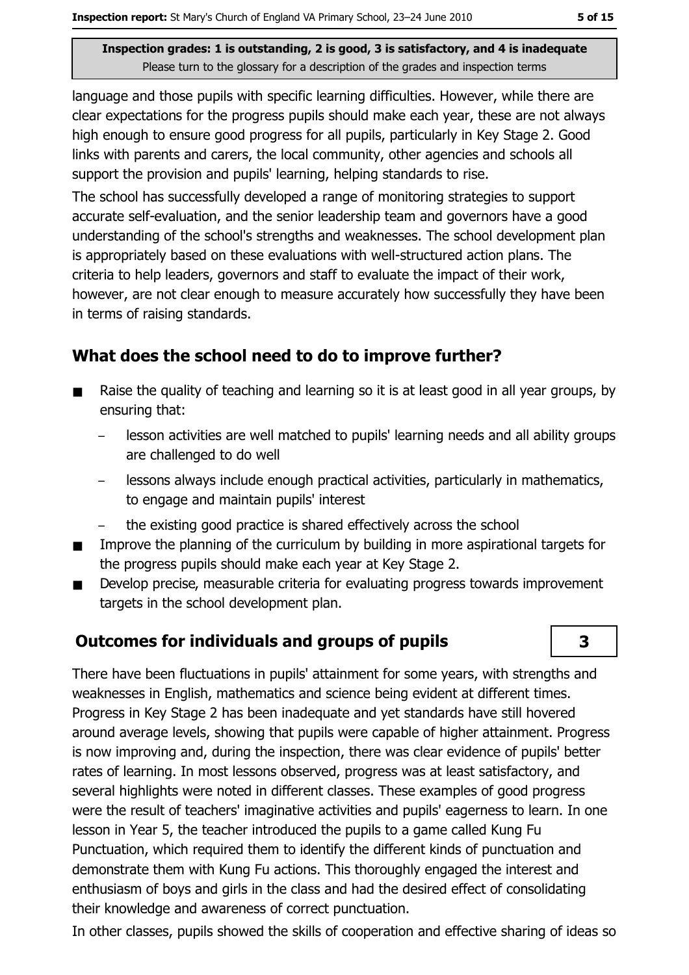$\overline{\mathbf{3}}$ 

Inspection grades: 1 is outstanding, 2 is good, 3 is satisfactory, and 4 is inadequate Please turn to the glossary for a description of the grades and inspection terms

language and those pupils with specific learning difficulties. However, while there are clear expectations for the progress pupils should make each year, these are not always high enough to ensure good progress for all pupils, particularly in Key Stage 2. Good links with parents and carers, the local community, other agencies and schools all support the provision and pupils' learning, helping standards to rise.

The school has successfully developed a range of monitoring strategies to support accurate self-evaluation, and the senior leadership team and governors have a good understanding of the school's strengths and weaknesses. The school development plan is appropriately based on these evaluations with well-structured action plans. The criteria to help leaders, governors and staff to evaluate the impact of their work, however, are not clear enough to measure accurately how successfully they have been in terms of raising standards.

## What does the school need to do to improve further?

- Raise the quality of teaching and learning so it is at least good in all year groups, by  $\blacksquare$ ensuring that:
	- lesson activities are well matched to pupils' learning needs and all ability groups are challenged to do well
	- lessons always include enough practical activities, particularly in mathematics, to engage and maintain pupils' interest
	- the existing good practice is shared effectively across the school
- Improve the planning of the curriculum by building in more aspirational targets for  $\blacksquare$ the progress pupils should make each year at Key Stage 2.
- Develop precise, measurable criteria for evaluating progress towards improvement  $\blacksquare$ targets in the school development plan.

## **Outcomes for individuals and groups of pupils**

There have been fluctuations in pupils' attainment for some years, with strengths and weaknesses in English, mathematics and science being evident at different times. Progress in Key Stage 2 has been inadequate and yet standards have still hovered around average levels, showing that pupils were capable of higher attainment. Progress is now improving and, during the inspection, there was clear evidence of pupils' better rates of learning. In most lessons observed, progress was at least satisfactory, and several highlights were noted in different classes. These examples of good progress were the result of teachers' imaginative activities and pupils' eagerness to learn. In one lesson in Year 5, the teacher introduced the pupils to a game called Kung Fu Punctuation, which required them to identify the different kinds of punctuation and demonstrate them with Kung Fu actions. This thoroughly engaged the interest and enthusiasm of boys and girls in the class and had the desired effect of consolidating their knowledge and awareness of correct punctuation.

In other classes, pupils showed the skills of cooperation and effective sharing of ideas so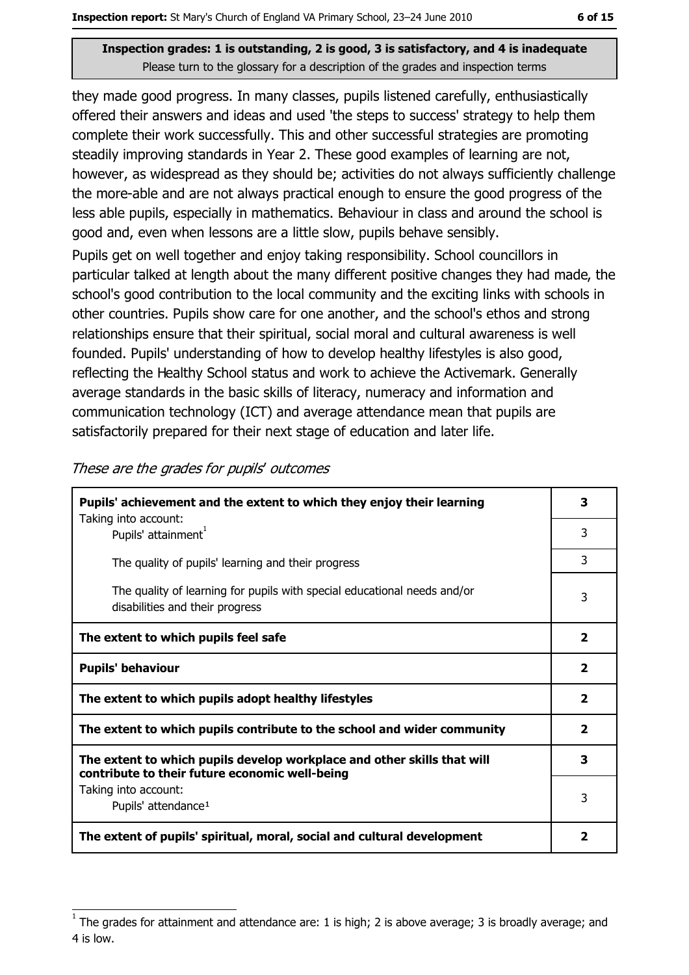they made good progress. In many classes, pupils listened carefully, enthusiastically offered their answers and ideas and used 'the steps to success' strategy to help them complete their work successfully. This and other successful strategies are promoting steadily improving standards in Year 2. These good examples of learning are not, however, as widespread as they should be; activities do not always sufficiently challenge the more-able and are not always practical enough to ensure the good progress of the less able pupils, especially in mathematics. Behaviour in class and around the school is good and, even when lessons are a little slow, pupils behave sensibly.

Pupils get on well together and enjoy taking responsibility. School councillors in particular talked at length about the many different positive changes they had made, the school's good contribution to the local community and the exciting links with schools in other countries. Pupils show care for one another, and the school's ethos and strong relationships ensure that their spiritual, social moral and cultural awareness is well founded. Pupils' understanding of how to develop healthy lifestyles is also good, reflecting the Healthy School status and work to achieve the Activemark. Generally average standards in the basic skills of literacy, numeracy and information and communication technology (ICT) and average attendance mean that pupils are satisfactorily prepared for their next stage of education and later life.

| Pupils' achievement and the extent to which they enjoy their learning                                                     | 3                       |
|---------------------------------------------------------------------------------------------------------------------------|-------------------------|
| Taking into account:<br>Pupils' attainment <sup>1</sup>                                                                   | 3                       |
| The quality of pupils' learning and their progress                                                                        | 3                       |
| The quality of learning for pupils with special educational needs and/or<br>disabilities and their progress               | 3                       |
| The extent to which pupils feel safe                                                                                      | $\mathbf{2}$            |
| <b>Pupils' behaviour</b>                                                                                                  | $\overline{\mathbf{2}}$ |
| The extent to which pupils adopt healthy lifestyles                                                                       | $\mathbf{2}$            |
| The extent to which pupils contribute to the school and wider community                                                   | $\mathbf{2}$            |
| The extent to which pupils develop workplace and other skills that will<br>contribute to their future economic well-being | 3                       |
| Taking into account:<br>Pupils' attendance <sup>1</sup>                                                                   | 3                       |
| The extent of pupils' spiritual, moral, social and cultural development                                                   | 2                       |

These are the grades for pupils' outcomes

The grades for attainment and attendance are: 1 is high; 2 is above average; 3 is broadly average; and 4 is low.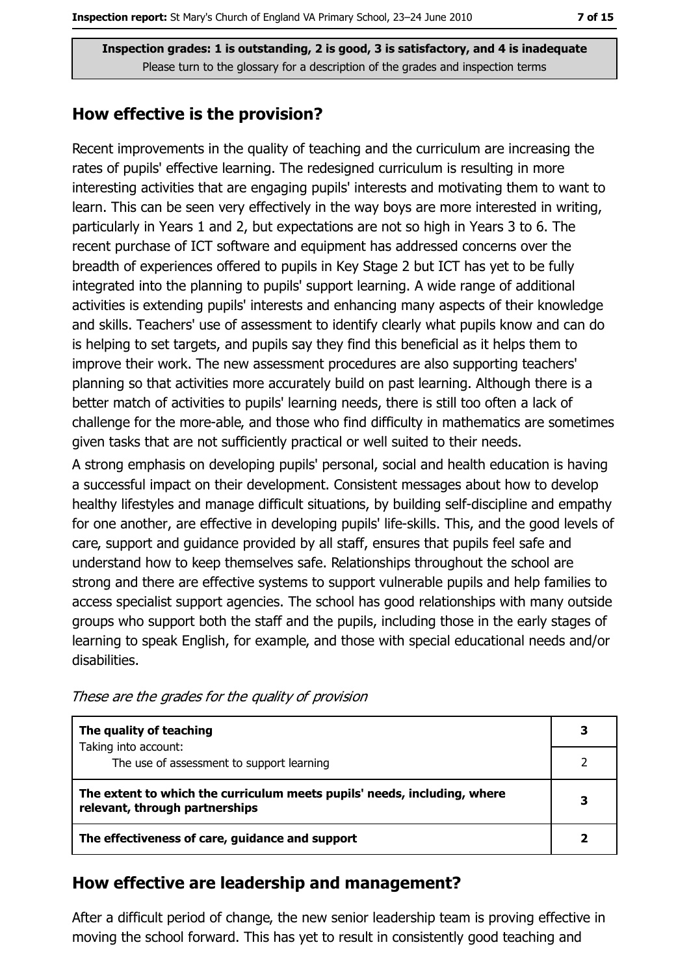#### How effective is the provision?

Recent improvements in the quality of teaching and the curriculum are increasing the rates of pupils' effective learning. The redesigned curriculum is resulting in more interesting activities that are engaging pupils' interests and motivating them to want to learn. This can be seen very effectively in the way boys are more interested in writing, particularly in Years 1 and 2, but expectations are not so high in Years 3 to 6. The recent purchase of ICT software and equipment has addressed concerns over the breadth of experiences offered to pupils in Key Stage 2 but ICT has yet to be fully integrated into the planning to pupils' support learning. A wide range of additional activities is extending pupils' interests and enhancing many aspects of their knowledge and skills. Teachers' use of assessment to identify clearly what pupils know and can do is helping to set targets, and pupils say they find this beneficial as it helps them to improve their work. The new assessment procedures are also supporting teachers' planning so that activities more accurately build on past learning. Although there is a better match of activities to pupils' learning needs, there is still too often a lack of challenge for the more-able, and those who find difficulty in mathematics are sometimes given tasks that are not sufficiently practical or well suited to their needs.

A strong emphasis on developing pupils' personal, social and health education is having a successful impact on their development. Consistent messages about how to develop healthy lifestyles and manage difficult situations, by building self-discipline and empathy for one another, are effective in developing pupils' life-skills. This, and the good levels of care, support and quidance provided by all staff, ensures that pupils feel safe and understand how to keep themselves safe. Relationships throughout the school are strong and there are effective systems to support vulnerable pupils and help families to access specialist support agencies. The school has good relationships with many outside groups who support both the staff and the pupils, including those in the early stages of learning to speak English, for example, and those with special educational needs and/or disabilities.

| The quality of teaching                                                                                    |  |
|------------------------------------------------------------------------------------------------------------|--|
| Taking into account:<br>The use of assessment to support learning                                          |  |
| The extent to which the curriculum meets pupils' needs, including, where<br>relevant, through partnerships |  |
| The effectiveness of care, guidance and support                                                            |  |

These are the grades for the quality of provision

#### How effective are leadership and management?

After a difficult period of change, the new senior leadership team is proving effective in moving the school forward. This has yet to result in consistently good teaching and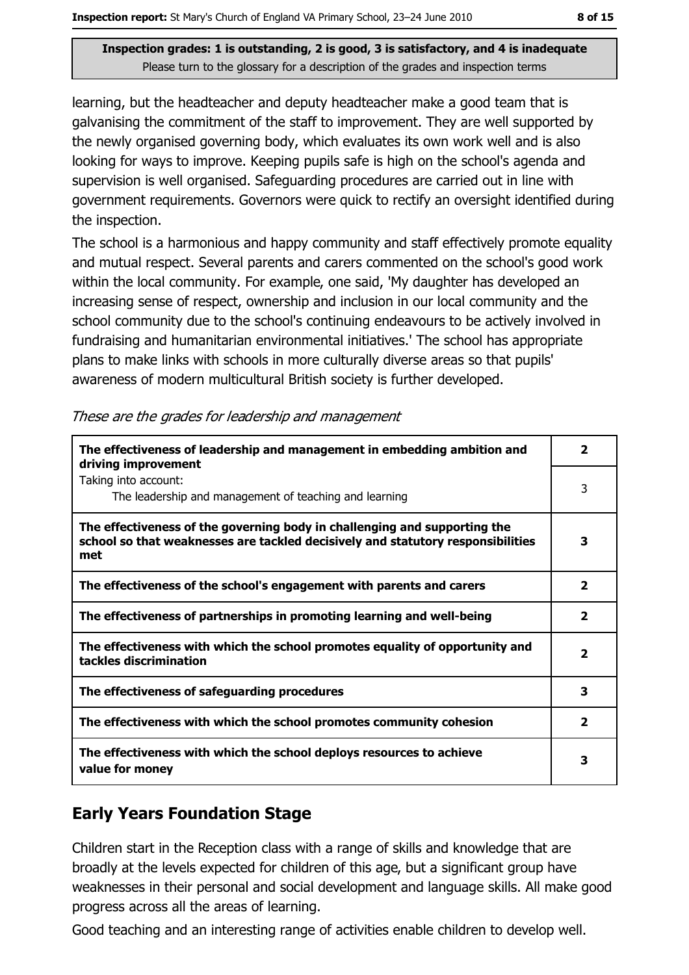learning, but the headteacher and deputy headteacher make a good team that is galvanising the commitment of the staff to improvement. They are well supported by the newly organised governing body, which evaluates its own work well and is also looking for ways to improve. Keeping pupils safe is high on the school's agenda and supervision is well organised. Safeguarding procedures are carried out in line with government requirements. Governors were quick to rectify an oversight identified during the inspection.

The school is a harmonious and happy community and staff effectively promote equality and mutual respect. Several parents and carers commented on the school's good work within the local community. For example, one said, 'My daughter has developed an increasing sense of respect, ownership and inclusion in our local community and the school community due to the school's continuing endeavours to be actively involved in fundraising and humanitarian environmental initiatives.' The school has appropriate plans to make links with schools in more culturally diverse areas so that pupils' awareness of modern multicultural British society is further developed.

| The effectiveness of leadership and management in embedding ambition and<br>driving improvement                                                                     | 2                       |
|---------------------------------------------------------------------------------------------------------------------------------------------------------------------|-------------------------|
| Taking into account:<br>The leadership and management of teaching and learning                                                                                      | 3                       |
| The effectiveness of the governing body in challenging and supporting the<br>school so that weaknesses are tackled decisively and statutory responsibilities<br>met | 3                       |
| The effectiveness of the school's engagement with parents and carers                                                                                                | $\overline{\mathbf{2}}$ |
| The effectiveness of partnerships in promoting learning and well-being                                                                                              | 2                       |
| The effectiveness with which the school promotes equality of opportunity and<br>tackles discrimination                                                              | $\overline{\mathbf{2}}$ |
| The effectiveness of safeguarding procedures                                                                                                                        | 3                       |
| The effectiveness with which the school promotes community cohesion                                                                                                 | $\overline{\mathbf{2}}$ |
| The effectiveness with which the school deploys resources to achieve<br>value for money                                                                             | з                       |

|  | These are the grades for leadership and management |
|--|----------------------------------------------------|
|  |                                                    |
|  |                                                    |

## **Early Years Foundation Stage**

Children start in the Reception class with a range of skills and knowledge that are broadly at the levels expected for children of this age, but a significant group have weaknesses in their personal and social development and language skills. All make good progress across all the areas of learning.

Good teaching and an interesting range of activities enable children to develop well.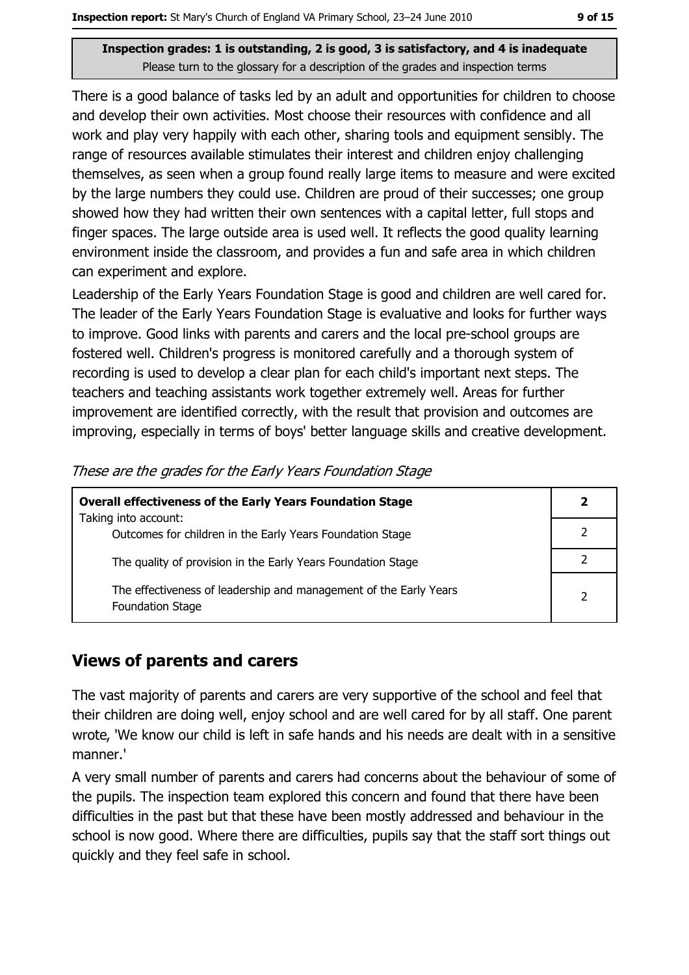There is a good balance of tasks led by an adult and opportunities for children to choose and develop their own activities. Most choose their resources with confidence and all work and play very happily with each other, sharing tools and equipment sensibly. The range of resources available stimulates their interest and children enjoy challenging themselves, as seen when a group found really large items to measure and were excited by the large numbers they could use. Children are proud of their successes; one group showed how they had written their own sentences with a capital letter, full stops and finger spaces. The large outside area is used well. It reflects the good quality learning environment inside the classroom, and provides a fun and safe area in which children can experiment and explore.

Leadership of the Early Years Foundation Stage is good and children are well cared for. The leader of the Early Years Foundation Stage is evaluative and looks for further ways to improve. Good links with parents and carers and the local pre-school groups are fostered well. Children's progress is monitored carefully and a thorough system of recording is used to develop a clear plan for each child's important next steps. The teachers and teaching assistants work together extremely well. Areas for further improvement are identified correctly, with the result that provision and outcomes are improving, especially in terms of boys' better language skills and creative development.

| <b>Overall effectiveness of the Early Years Foundation Stage</b>                             |  |
|----------------------------------------------------------------------------------------------|--|
| Taking into account:<br>Outcomes for children in the Early Years Foundation Stage            |  |
| The quality of provision in the Early Years Foundation Stage                                 |  |
| The effectiveness of leadership and management of the Early Years<br><b>Foundation Stage</b> |  |

These are the grades for the Early Years Foundation Stage

#### **Views of parents and carers**

The vast majority of parents and carers are very supportive of the school and feel that their children are doing well, enjoy school and are well cared for by all staff. One parent wrote, 'We know our child is left in safe hands and his needs are dealt with in a sensitive manner.'

A very small number of parents and carers had concerns about the behaviour of some of the pupils. The inspection team explored this concern and found that there have been difficulties in the past but that these have been mostly addressed and behaviour in the school is now good. Where there are difficulties, pupils say that the staff sort things out quickly and they feel safe in school.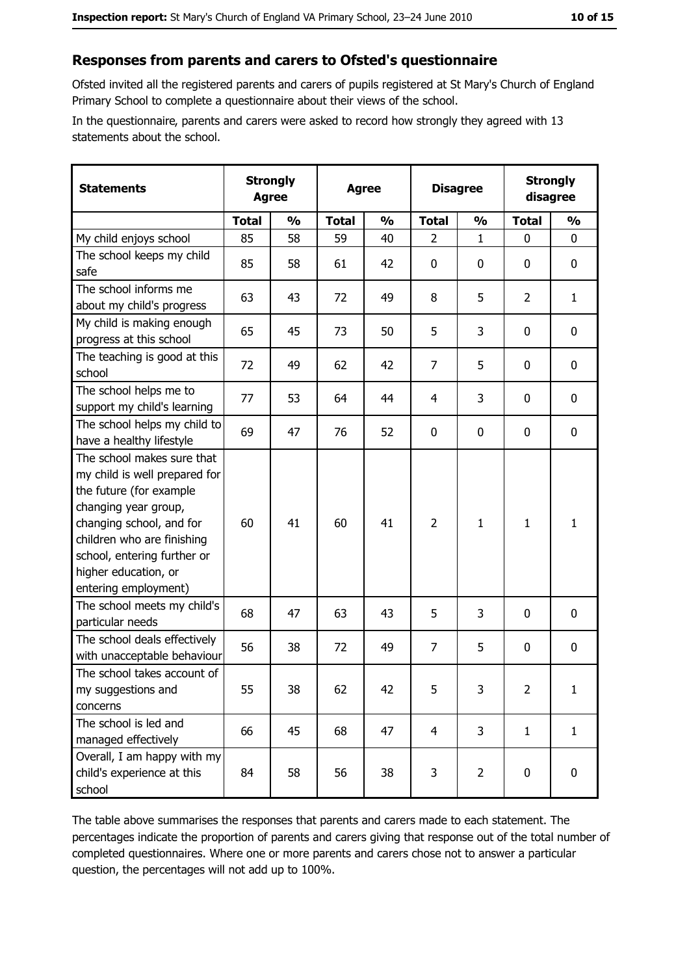#### Responses from parents and carers to Ofsted's questionnaire

Ofsted invited all the registered parents and carers of pupils registered at St Mary's Church of England Primary School to complete a questionnaire about their views of the school.

In the questionnaire, parents and carers were asked to record how strongly they agreed with 13 statements about the school.

| <b>Statements</b>                                                                                                                                                                                                                                       | <b>Strongly</b><br><b>Agree</b> |               | <b>Agree</b> |               |                | <b>Disagree</b> |                | <b>Strongly</b><br>disagree |
|---------------------------------------------------------------------------------------------------------------------------------------------------------------------------------------------------------------------------------------------------------|---------------------------------|---------------|--------------|---------------|----------------|-----------------|----------------|-----------------------------|
|                                                                                                                                                                                                                                                         | <b>Total</b>                    | $\frac{1}{2}$ | <b>Total</b> | $\frac{0}{0}$ | <b>Total</b>   | $\frac{1}{2}$   | <b>Total</b>   | $\frac{1}{2}$               |
| My child enjoys school                                                                                                                                                                                                                                  | 85                              | 58            | 59           | 40            | $\overline{2}$ | 1               | $\overline{0}$ | $\mathbf{0}$                |
| The school keeps my child<br>safe                                                                                                                                                                                                                       | 85                              | 58            | 61           | 42            | 0              | 0               | 0              | 0                           |
| The school informs me<br>about my child's progress                                                                                                                                                                                                      | 63                              | 43            | 72           | 49            | 8              | 5               | 2              | $\mathbf{1}$                |
| My child is making enough<br>progress at this school                                                                                                                                                                                                    | 65                              | 45            | 73           | 50            | 5              | 3               | 0              | 0                           |
| The teaching is good at this<br>school                                                                                                                                                                                                                  | 72                              | 49            | 62           | 42            | 7              | 5               | 0              | $\mathbf 0$                 |
| The school helps me to<br>support my child's learning                                                                                                                                                                                                   | 77                              | 53            | 64           | 44            | 4              | 3               | 0              | $\mathbf 0$                 |
| The school helps my child to<br>have a healthy lifestyle                                                                                                                                                                                                | 69                              | 47            | 76           | 52            | 0              | 0               | 0              | 0                           |
| The school makes sure that<br>my child is well prepared for<br>the future (for example<br>changing year group,<br>changing school, and for<br>children who are finishing<br>school, entering further or<br>higher education, or<br>entering employment) | 60                              | 41            | 60           | 41            | $\overline{2}$ | 1               | 1              | $\mathbf{1}$                |
| The school meets my child's<br>particular needs                                                                                                                                                                                                         | 68                              | 47            | 63           | 43            | 5              | 3               | 0              | $\mathbf 0$                 |
| The school deals effectively<br>with unacceptable behaviour                                                                                                                                                                                             | 56                              | 38            | 72           | 49            | $\overline{7}$ | 5               | 0              | 0                           |
| The school takes account of<br>my suggestions and<br>concerns                                                                                                                                                                                           | 55                              | 38            | 62           | 42            | 5              | 3               | $\overline{2}$ | $\mathbf{1}$                |
| The school is led and<br>managed effectively                                                                                                                                                                                                            | 66                              | 45            | 68           | 47            | $\overline{4}$ | 3               | $\mathbf{1}$   | $\mathbf{1}$                |
| Overall, I am happy with my<br>child's experience at this<br>school                                                                                                                                                                                     | 84                              | 58            | 56           | 38            | 3              | $\overline{2}$  | 0              | $\mathbf 0$                 |

The table above summarises the responses that parents and carers made to each statement. The percentages indicate the proportion of parents and carers giving that response out of the total number of completed questionnaires. Where one or more parents and carers chose not to answer a particular question, the percentages will not add up to 100%.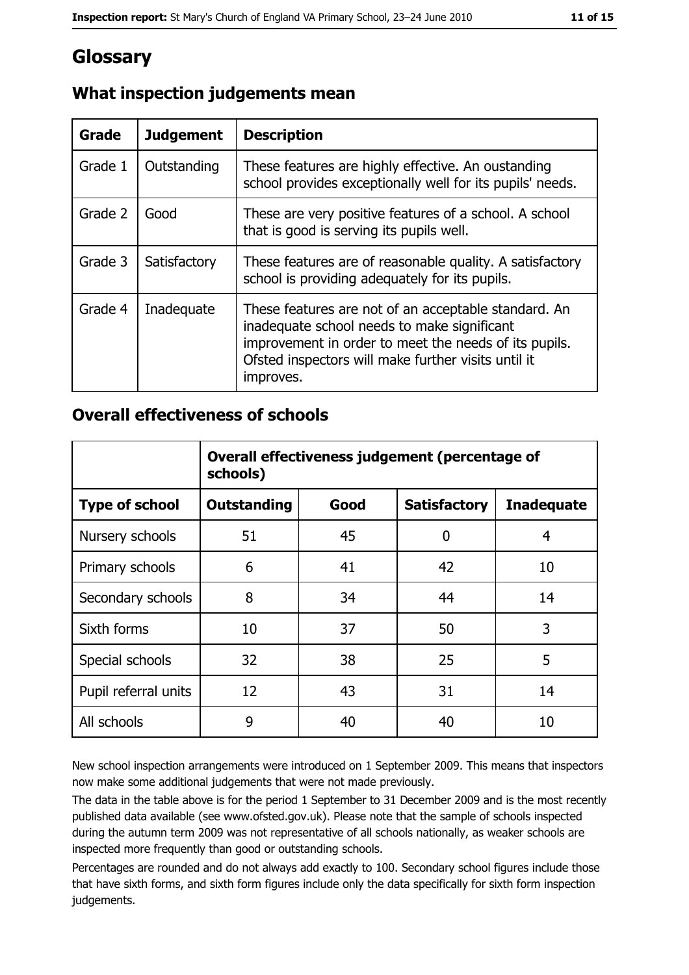# Glossary

| <b>Grade</b> | <b>Judgement</b> | <b>Description</b>                                                                                                                                                                                                               |
|--------------|------------------|----------------------------------------------------------------------------------------------------------------------------------------------------------------------------------------------------------------------------------|
| Grade 1      | Outstanding      | These features are highly effective. An oustanding<br>school provides exceptionally well for its pupils' needs.                                                                                                                  |
| Grade 2      | Good             | These are very positive features of a school. A school<br>that is good is serving its pupils well.                                                                                                                               |
| Grade 3      | Satisfactory     | These features are of reasonable quality. A satisfactory<br>school is providing adequately for its pupils.                                                                                                                       |
| Grade 4      | Inadequate       | These features are not of an acceptable standard. An<br>inadequate school needs to make significant<br>improvement in order to meet the needs of its pupils.<br>Ofsted inspectors will make further visits until it<br>improves. |

## What inspection judgements mean

#### **Overall effectiveness of schools**

|                       | Overall effectiveness judgement (percentage of<br>schools) |      |                     |                   |  |
|-----------------------|------------------------------------------------------------|------|---------------------|-------------------|--|
| <b>Type of school</b> | <b>Outstanding</b>                                         | Good | <b>Satisfactory</b> | <b>Inadequate</b> |  |
| Nursery schools       | 51                                                         | 45   | 0                   | 4                 |  |
| Primary schools       | 6                                                          | 41   | 42                  | 10                |  |
| Secondary schools     | 8                                                          | 34   | 44                  | 14                |  |
| Sixth forms           | 10                                                         | 37   | 50                  | 3                 |  |
| Special schools       | 32                                                         | 38   | 25                  | 5                 |  |
| Pupil referral units  | 12                                                         | 43   | 31                  | 14                |  |
| All schools           | 9                                                          | 40   | 40                  | 10                |  |

New school inspection arrangements were introduced on 1 September 2009. This means that inspectors now make some additional judgements that were not made previously.

The data in the table above is for the period 1 September to 31 December 2009 and is the most recently published data available (see www.ofsted.gov.uk). Please note that the sample of schools inspected during the autumn term 2009 was not representative of all schools nationally, as weaker schools are inspected more frequently than good or outstanding schools.

Percentages are rounded and do not always add exactly to 100. Secondary school figures include those that have sixth forms, and sixth form figures include only the data specifically for sixth form inspection judgements.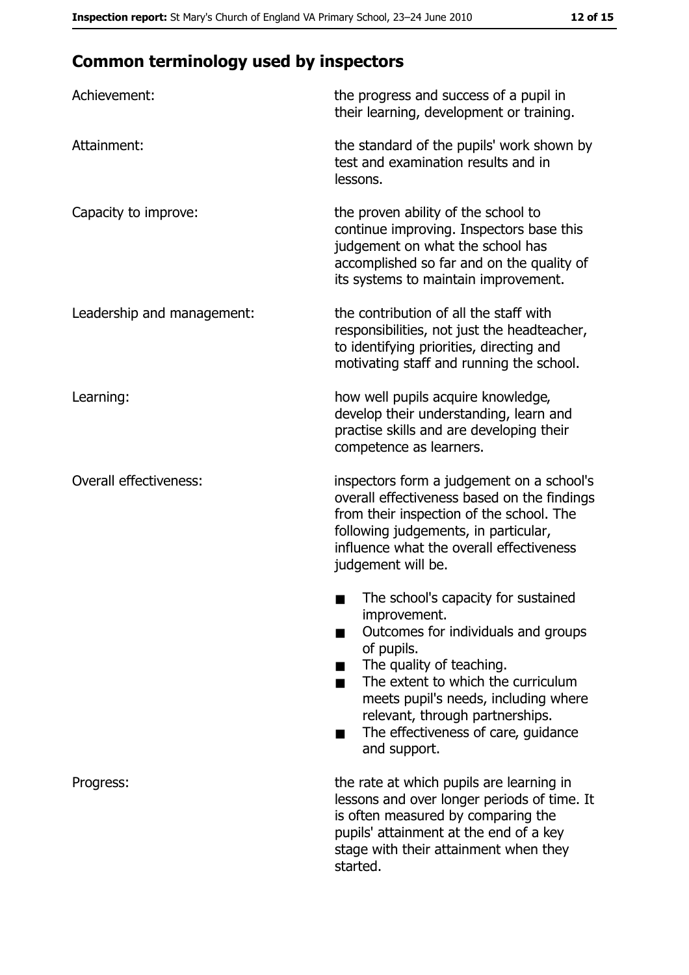# **Common terminology used by inspectors**

| Achievement:                  | the progress and success of a pupil in<br>their learning, development or training.                                                                                                                                                                                                                           |
|-------------------------------|--------------------------------------------------------------------------------------------------------------------------------------------------------------------------------------------------------------------------------------------------------------------------------------------------------------|
| Attainment:                   | the standard of the pupils' work shown by<br>test and examination results and in<br>lessons.                                                                                                                                                                                                                 |
| Capacity to improve:          | the proven ability of the school to<br>continue improving. Inspectors base this<br>judgement on what the school has<br>accomplished so far and on the quality of<br>its systems to maintain improvement.                                                                                                     |
| Leadership and management:    | the contribution of all the staff with<br>responsibilities, not just the headteacher,<br>to identifying priorities, directing and<br>motivating staff and running the school.                                                                                                                                |
| Learning:                     | how well pupils acquire knowledge,<br>develop their understanding, learn and<br>practise skills and are developing their<br>competence as learners.                                                                                                                                                          |
| <b>Overall effectiveness:</b> | inspectors form a judgement on a school's<br>overall effectiveness based on the findings<br>from their inspection of the school. The<br>following judgements, in particular,<br>influence what the overall effectiveness<br>judgement will be.                                                               |
|                               | The school's capacity for sustained<br>improvement.<br>Outcomes for individuals and groups<br>of pupils.<br>The quality of teaching.<br>The extent to which the curriculum<br>meets pupil's needs, including where<br>relevant, through partnerships.<br>The effectiveness of care, guidance<br>and support. |
| Progress:                     | the rate at which pupils are learning in<br>lessons and over longer periods of time. It<br>is often measured by comparing the<br>pupils' attainment at the end of a key<br>stage with their attainment when they<br>started.                                                                                 |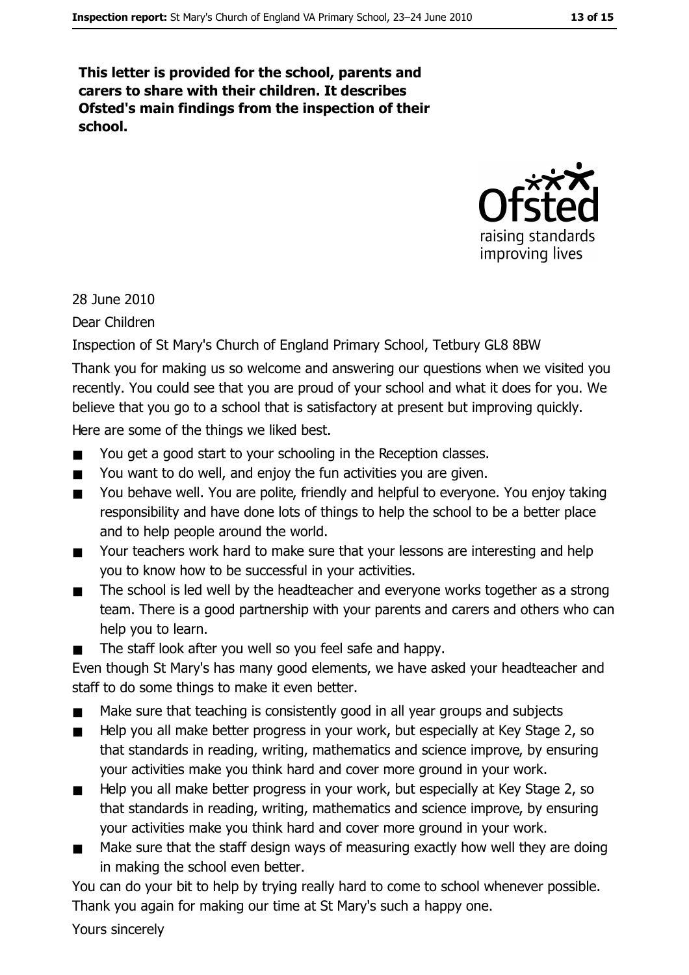This letter is provided for the school, parents and carers to share with their children. It describes Ofsted's main findings from the inspection of their school.



28 June 2010

Dear Children

Inspection of St Mary's Church of England Primary School, Tetbury GL8 8BW

Thank you for making us so welcome and answering our questions when we visited you recently. You could see that you are proud of your school and what it does for you. We believe that you go to a school that is satisfactory at present but improving quickly. Here are some of the things we liked best.

- You get a good start to your schooling in the Reception classes.  $\blacksquare$
- You want to do well, and enjoy the fun activities you are given.  $\blacksquare$
- You behave well. You are polite, friendly and helpful to everyone. You enjoy taking  $\blacksquare$ responsibility and have done lots of things to help the school to be a better place and to help people around the world.
- Your teachers work hard to make sure that your lessons are interesting and help  $\blacksquare$ you to know how to be successful in your activities.
- The school is led well by the headteacher and everyone works together as a strong  $\blacksquare$ team. There is a good partnership with your parents and carers and others who can help you to learn.
- The staff look after you well so you feel safe and happy.

Even though St Mary's has many good elements, we have asked your headteacher and staff to do some things to make it even better.

- Make sure that teaching is consistently good in all year groups and subjects  $\blacksquare$
- Help you all make better progress in your work, but especially at Key Stage 2, so  $\blacksquare$ that standards in reading, writing, mathematics and science improve, by ensuring your activities make you think hard and cover more ground in your work.
- Help you all make better progress in your work, but especially at Key Stage 2, so  $\blacksquare$ that standards in reading, writing, mathematics and science improve, by ensuring your activities make you think hard and cover more ground in your work.
- Make sure that the staff design ways of measuring exactly how well they are doing in making the school even better.

You can do your bit to help by trying really hard to come to school whenever possible. Thank you again for making our time at St Mary's such a happy one.

Yours sincerely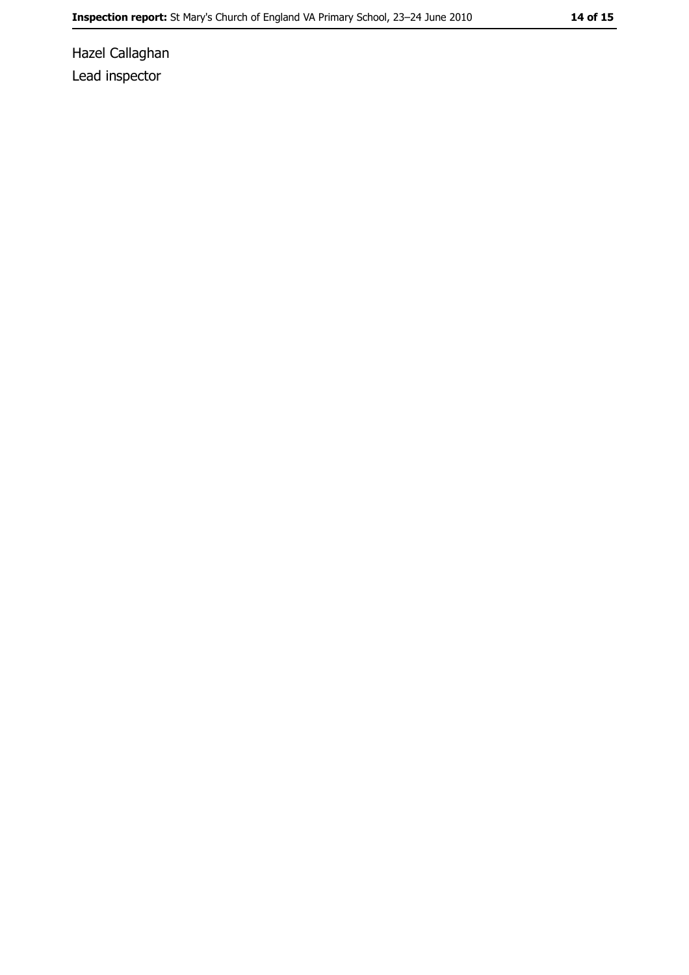Hazel Callaghan Lead inspector